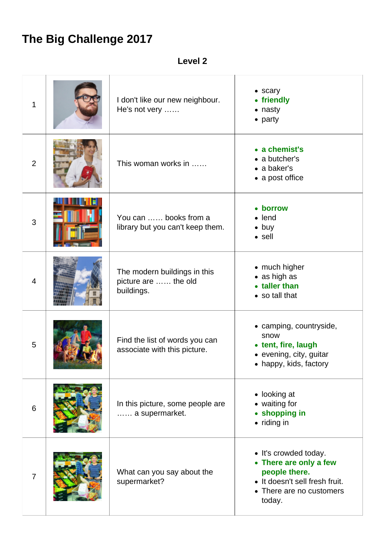## **The Big Challenge 2017**

**Level 2**

| 1              | I don't like our new neighbour.<br>He's not very                   | $\bullet$ scary<br>• friendly<br>• nasty<br>• party                                                                                      |
|----------------|--------------------------------------------------------------------|------------------------------------------------------------------------------------------------------------------------------------------|
| $\overline{2}$ | This woman works in                                                | • a chemist's<br>• a butcher's<br>• a baker's<br>• a post office                                                                         |
| 3              | You can  books from a<br>library but you can't keep them.          | • borrow<br>$\bullet$ lend<br>$\bullet$ buy<br>$\bullet$ sell                                                                            |
| $\overline{4}$ | The modern buildings in this<br>picture are  the old<br>buildings. | • much higher<br>• as high as<br>• taller than<br>• so tall that                                                                         |
| 5              | Find the list of words you can<br>associate with this picture.     | • camping, countryside,<br>snow<br>• tent, fire, laugh<br>· evening, city, guitar<br>• happy, kids, factory                              |
| 6              | In this picture, some people are<br>a supermarket.                 | • looking at<br>• waiting for<br>• shopping in<br>• riding in                                                                            |
| $\overline{7}$ | What can you say about the<br>supermarket?                         | • It's crowded today.<br>• There are only a few<br>people there.<br>• It doesn't sell fresh fruit.<br>• There are no customers<br>today. |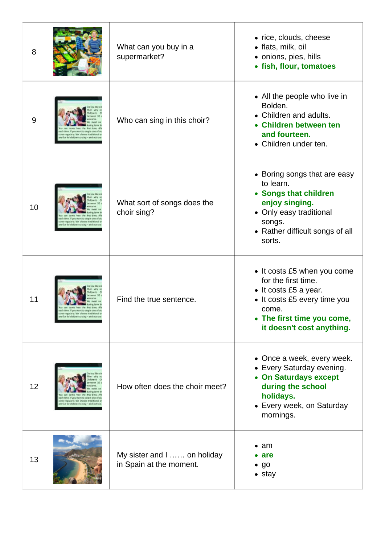| 8  | What can you buy in a<br>supermarket?                  | • rice, clouds, cheese<br>• flats, milk, oil<br>• onions, pies, hills<br>• fish, flour, tomatoes                                                                                |
|----|--------------------------------------------------------|---------------------------------------------------------------------------------------------------------------------------------------------------------------------------------|
| 9  | Who can sing in this choir?                            | • All the people who live in<br>Bolden.<br>• Children and adults.<br>• Children between ten<br>and fourteen.<br>• Children under ten.                                           |
| 10 | What sort of songs does the<br>choir sing?             | • Boring songs that are easy<br>to learn.<br>• Songs that children<br>enjoy singing.<br>• Only easy traditional<br>songs.<br>• Rather difficult songs of all<br>sorts.          |
| 11 | Find the true sentence.                                | • It costs £5 when you come<br>for the first time.<br>• It costs £5 a year.<br>• It costs £5 every time you<br>come.<br>• The first time you come,<br>it doesn't cost anything. |
| 12 | How often does the choir meet?                         | • Once a week, every week.<br>• Every Saturday evening.<br>• On Saturdays except<br>during the school<br>holidays.<br>• Every week, on Saturday<br>mornings.                    |
| 13 | My sister and I  on holiday<br>in Spain at the moment. | $\bullet$ am<br>$\bullet$ are<br>$\bullet$ go<br>$\bullet$ stay                                                                                                                 |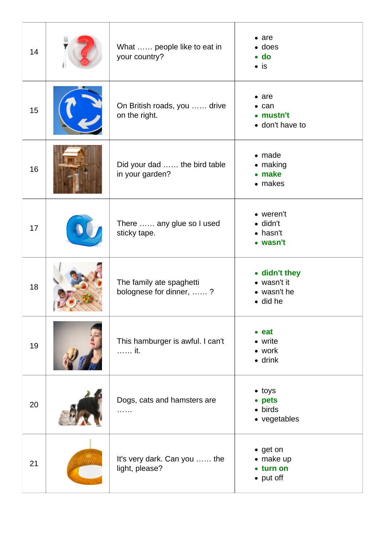| 14 | What  people like to eat in<br>your country?        | $\bullet$ are<br>$\bullet$ does<br>$\bullet$ do<br>$\bullet$ is |
|----|-----------------------------------------------------|-----------------------------------------------------------------|
| 15 | On British roads, you  drive<br>on the right.       | $\bullet$ are<br>$\bullet$ can<br>• mustn't<br>• don't have to  |
| 16 | Did your dad  the bird table<br>in your garden?     | $\bullet$ made<br>$\bullet$ making<br>• make<br>• makes         |
| 17 | There  any glue so I used<br>sticky tape.           | • weren't<br>$\bullet$ didn't<br>$\bullet$ hasn't<br>• wasn't   |
| 18 | The family ate spaghetti<br>bolognese for dinner, ? | • didn't they<br>• wasn't it<br>• wasn't he<br>$\bullet$ did he |
| 19 | This hamburger is awful. I can't<br>it.             | $•$ eat<br>• write<br>• work<br>$\bullet$ drink                 |
| 20 | Dogs, cats and hamsters are<br>.                    | $\bullet$ toys<br>• pets<br>$\bullet$ birds<br>• vegetables     |
| 21 | It's very dark. Can you  the<br>light, please?      | • get on<br>• make up<br>• turn on<br>• put off                 |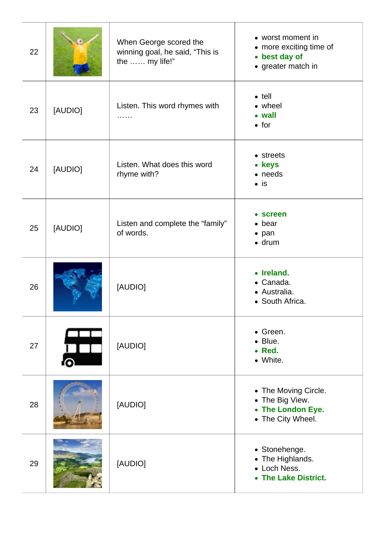| 22 |         | When George scored the<br>winning goal, he said, "This is<br>the  my life!" | • worst moment in<br>• more exciting time of<br>• best day of<br>• greater match in |
|----|---------|-----------------------------------------------------------------------------|-------------------------------------------------------------------------------------|
| 23 | [AUDIO] | Listen. This word rhymes with<br>.                                          | $\bullet$ tell<br>• wheel<br>• wall<br>$\bullet$ for                                |
| 24 | [AUDIO] | Listen. What does this word<br>rhyme with?                                  | • streets<br>• keys<br>• needs<br>$\bullet$ is                                      |
| 25 | [AUDIO] | Listen and complete the "family"<br>of words.                               | • screen<br>$\bullet$ bear<br>$\bullet$ pan<br>$\bullet$ drum                       |
| 26 |         | [AUDIO]                                                                     | • Ireland.<br>• Canada.<br>· Australia.<br>• South Africa.                          |
| 27 |         | [AUDIO]                                                                     | • Green.<br>• Blue.<br>• Red.<br>• White.                                           |
| 28 |         | [AUDIO]                                                                     | • The Moving Circle.<br>• The Big View.<br>• The London Eye.<br>• The City Wheel.   |
| 29 |         | [AUDIO]                                                                     | • Stonehenge.<br>• The Highlands.<br>• Loch Ness.<br>• The Lake District.           |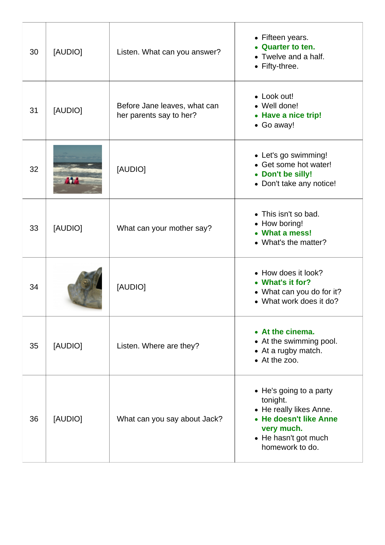| 30 | [AUDIO] | Listen. What can you answer?                            | • Fifteen years.<br><b>Quarter to ten.</b><br>• Twelve and a half.<br>• Fifty-three.                                                              |
|----|---------|---------------------------------------------------------|---------------------------------------------------------------------------------------------------------------------------------------------------|
| 31 | [AUDIO] | Before Jane leaves, what can<br>her parents say to her? | • Look out!<br>• Well done!<br>• Have a nice trip!<br>• Go away!                                                                                  |
| 32 | 414     | [AUDIO]                                                 | • Let's go swimming!<br>• Get some hot water!<br>• Don't be silly!<br>• Don't take any notice!                                                    |
| 33 | [AUDIO] | What can your mother say?                               | • This isn't so bad.<br>• How boring!<br>• What a mess!<br>• What's the matter?                                                                   |
| 34 |         | [AUDIO]                                                 | • How does it look?<br>• What's it for?<br>• What can you do for it?<br>• What work does it do?                                                   |
| 35 | [AUDIO] | Listen. Where are they?                                 | • At the cinema.<br>• At the swimming pool.<br>• At a rugby match.<br>• At the zoo.                                                               |
| 36 | [AUDIO] | What can you say about Jack?                            | • He's going to a party<br>tonight.<br>• He really likes Anne.<br>• He doesn't like Anne<br>very much.<br>• He hasn't got much<br>homework to do. |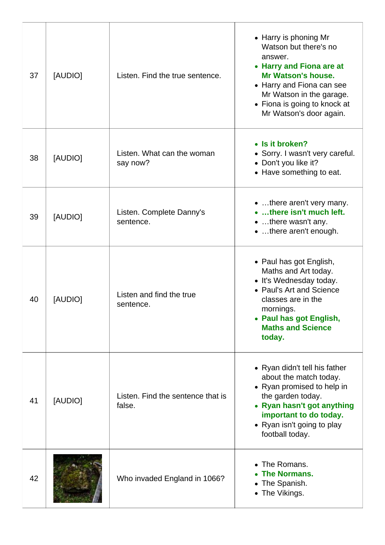| 37 | [AUDIO] | Listen. Find the true sentence.             | • Harry is phoning Mr<br>Watson but there's no<br>answer.<br>• Harry and Fiona are at<br><b>Mr Watson's house.</b><br>• Harry and Fiona can see<br>Mr Watson in the garage.<br>• Fiona is going to knock at<br>Mr Watson's door again. |
|----|---------|---------------------------------------------|----------------------------------------------------------------------------------------------------------------------------------------------------------------------------------------------------------------------------------------|
| 38 | [AUDIO] | Listen. What can the woman<br>say now?      | • Is it broken?<br>• Sorry. I wasn't very careful.<br>• Don't you like it?<br>• Have something to eat.                                                                                                                                 |
| 39 | [AUDIO] | Listen. Complete Danny's<br>sentence.       | • there aren't very many.<br>• there isn't much left.<br>• there wasn't any.<br>•  there aren't enough.                                                                                                                                |
| 40 | [AUDIO] | Listen and find the true<br>sentence.       | • Paul has got English,<br>Maths and Art today.<br>• It's Wednesday today.<br>• Paul's Art and Science<br>classes are in the<br>mornings.<br>• Paul has got English,<br><b>Maths and Science</b><br>today.                             |
| 41 | [AUDIO] | Listen. Find the sentence that is<br>false. | • Ryan didn't tell his father<br>about the match today.<br>• Ryan promised to help in<br>the garden today.<br>• Ryan hasn't got anything<br>important to do today.<br>• Ryan isn't going to play<br>football today.                    |
| 42 |         | Who invaded England in 1066?                | The Romans.<br>$\bullet$<br><b>The Normans.</b><br>The Spanish.<br>The Vikings.                                                                                                                                                        |